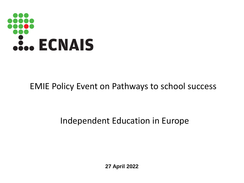

### EMIE Policy Event on Pathways to school success

### Independent Education in Europe

**27 April 2022**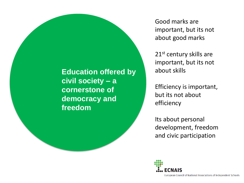**Education offered by civil society – a cornerstone of democracy and freedom**

Good marks are important, but its not about good marks

21<sup>st</sup> century skills are important, but its not about skills

Efficiency is important, but its not about efficiency

Its about personal development, freedom and civic participation

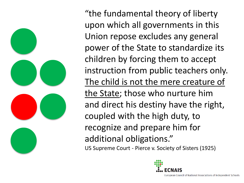

"the fundamental theory of liberty upon which all governments in this Union repose excludes any general power of the State to standardize its children by forcing them to accept instruction from public teachers only. The child is not the mere creature of the State; those who nurture him and direct his destiny have the right, coupled with the high duty, to recognize and prepare him for additional obligations." US Supreme Court - Pierce v. Society of Sisters (1925)

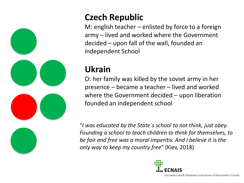

# **Czech Republic**

M: english teacher – enlisted by force to a foreign army – lived and worked where the Government decided – upon fall of the wall, founded an independent School

### **Ukrain**

O: her family was killed by the soviet army in her presence – became a teacher – lived and worked where the Government decided – upon liberation founded an independent school

"*I was educated by the State`s school to not think, just obey. Founding a school to teach children to think for themselves, to be fair and free was a moral imperitiv. And I believe it is the only way to keep my country free*" (Kiev, 2018)

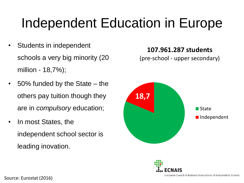# Independent Education in Europe

- Students in independent schools a very big minority (20 million - 18,7%);
- 50% funded by the State the others pay tuition though they are in *compulsory* education;
- In most States, the independent school sector is leading inovation.

**107.961.287 students**

(pre-school - upper secondary)



Source: Eurostat (2016)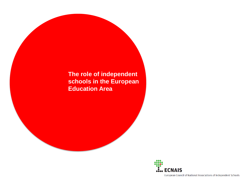#### **The role of independent schools in the European Education Area**

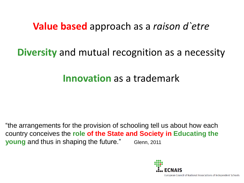## **Value based** approach as a *raison d`etre*

## **Diversity** and mutual recognition as a necessity

# **Innovation** as a trademark

"the arrangements for the provision of schooling tell us about how each country conceives the **role of the State and Society in Educating the young** and thus in shaping the future." Glenn, 2011